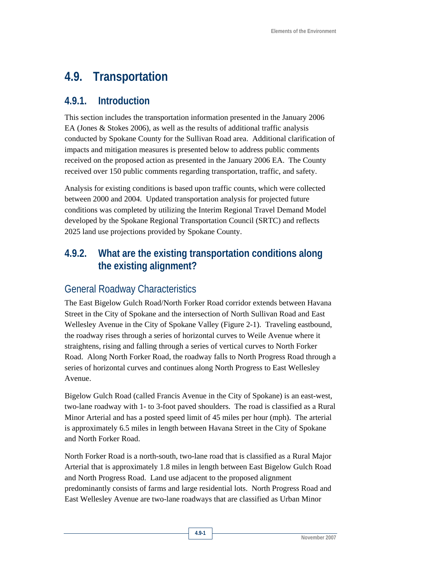# **4.9. Transportation**

### **4.9.1. Introduction**

This section includes the transportation information presented in the January 2006 EA (Jones & Stokes 2006), as well as the results of additional traffic analysis conducted by Spokane County for the Sullivan Road area. Additional clarification of impacts and mitigation measures is presented below to address public comments received on the proposed action as presented in the January 2006 EA. The County received over 150 public comments regarding transportation, traffic, and safety.

Analysis for existing conditions is based upon traffic counts, which were collected between 2000 and 2004. Updated transportation analysis for projected future conditions was completed by utilizing the Interim Regional Travel Demand Model developed by the Spokane Regional Transportation Council (SRTC) and reflects 2025 land use projections provided by Spokane County.

# **4.9.2. What are the existing transportation conditions along the existing alignment?**

## General Roadway Characteristics

The East Bigelow Gulch Road/North Forker Road corridor extends between Havana Street in the City of Spokane and the intersection of North Sullivan Road and East Wellesley Avenue in the City of Spokane Valley (Figure 2-1). Traveling eastbound, the roadway rises through a series of horizontal curves to Weile Avenue where it straightens, rising and falling through a series of vertical curves to North Forker Road. Along North Forker Road, the roadway falls to North Progress Road through a series of horizontal curves and continues along North Progress to East Wellesley Avenue.

Bigelow Gulch Road (called Francis Avenue in the City of Spokane) is an east-west, two-lane roadway with 1- to 3-foot paved shoulders. The road is classified as a Rural Minor Arterial and has a posted speed limit of 45 miles per hour (mph). The arterial is approximately 6.5 miles in length between Havana Street in the City of Spokane and North Forker Road.

North Forker Road is a north-south, two-lane road that is classified as a Rural Major Arterial that is approximately 1.8 miles in length between East Bigelow Gulch Road and North Progress Road. Land use adjacent to the proposed alignment predominantly consists of farms and large residential lots. North Progress Road and East Wellesley Avenue are two-lane roadways that are classified as Urban Minor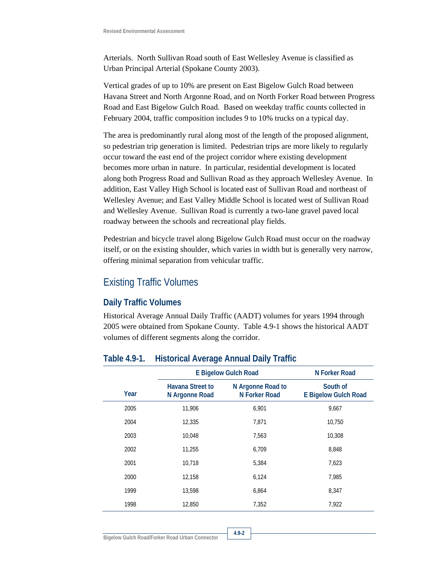Arterials. North Sullivan Road south of East Wellesley Avenue is classified as Urban Principal Arterial (Spokane County 2003).

Vertical grades of up to 10% are present on East Bigelow Gulch Road between Havana Street and North Argonne Road, and on North Forker Road between Progress Road and East Bigelow Gulch Road. Based on weekday traffic counts collected in February 2004, traffic composition includes 9 to 10% trucks on a typical day.

The area is predominantly rural along most of the length of the proposed alignment, so pedestrian trip generation is limited. Pedestrian trips are more likely to regularly occur toward the east end of the project corridor where existing development becomes more urban in nature. In particular, residential development is located along both Progress Road and Sullivan Road as they approach Wellesley Avenue. In addition, East Valley High School is located east of Sullivan Road and northeast of Wellesley Avenue; and East Valley Middle School is located west of Sullivan Road and Wellesley Avenue. Sullivan Road is currently a two-lane gravel paved local roadway between the schools and recreational play fields.

Pedestrian and bicycle travel along Bigelow Gulch Road must occur on the roadway itself, or on the existing shoulder, which varies in width but is generally very narrow, offering minimal separation from vehicular traffic.

### Existing Traffic Volumes

#### **Daily Traffic Volumes**

Historical Average Annual Daily Traffic (AADT) volumes for years 1994 through 2005 were obtained from Spokane County. Table 4.9-1 shows the historical AADT volumes of different segments along the corridor.

|      | ◡                                         |                                    |                                         |  |  |  |  |
|------|-------------------------------------------|------------------------------------|-----------------------------------------|--|--|--|--|
|      |                                           | <b>E Bigelow Gulch Road</b>        |                                         |  |  |  |  |
| Year | <b>Havana Street to</b><br>N Argonne Road | N Argonne Road to<br>N Forker Road | South of<br><b>E Bigelow Gulch Road</b> |  |  |  |  |
| 2005 | 11,906                                    | 6,901                              | 9,667                                   |  |  |  |  |
| 2004 | 12,335                                    | 7,871                              | 10,750                                  |  |  |  |  |
| 2003 | 10,048                                    | 7,563                              | 10,308                                  |  |  |  |  |
| 2002 | 11,255                                    | 6,709                              | 8,848                                   |  |  |  |  |
| 2001 | 10,718                                    | 5,384                              | 7,623                                   |  |  |  |  |
| 2000 | 12,158                                    | 6,124                              | 7,985                                   |  |  |  |  |
| 1999 | 13,598                                    | 6,864                              | 8,347                                   |  |  |  |  |
| 1998 | 12,850                                    | 7,352                              | 7,922                                   |  |  |  |  |
|      |                                           |                                    |                                         |  |  |  |  |

#### **Table 4.9-1. Historical Average Annual Daily Traffic**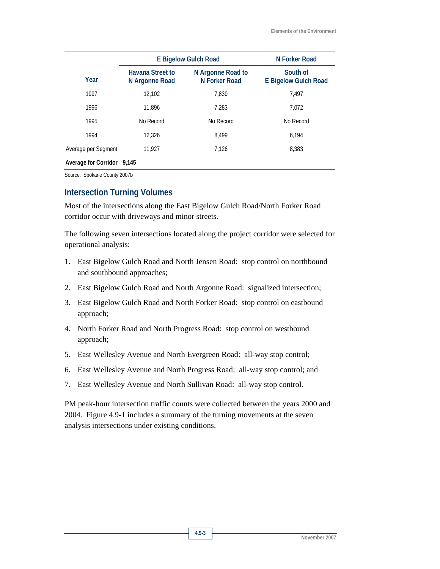|                            | <b>E Bigelow Gulch Road</b>        | N Forker Road                      |                                         |  |
|----------------------------|------------------------------------|------------------------------------|-----------------------------------------|--|
| Year                       | Havana Street to<br>N Argonne Road | N Argonne Road to<br>N Forker Road | South of<br><b>E Bigelow Gulch Road</b> |  |
| 1997                       | 12.102                             | 7.839                              | 7.497                                   |  |
| 1996                       | 11.896                             | 7.283                              | 7.072                                   |  |
| 1995                       | No Record                          | No Record                          | No Record                               |  |
| 1994                       | 12,326                             | 8.499                              | 6.194                                   |  |
| Average per Segment        | 11.927                             | 7.126                              | 8,383                                   |  |
| Average for Corridor 9,145 |                                    |                                    |                                         |  |

Source: Spokane County 2007b

### **Intersection Turning Volumes**

Most of the intersections along the East Bigelow Gulch Road/North Forker Road corridor occur with driveways and minor streets.

The following seven intersections located along the project corridor were selected for operational analysis:

- 1. East Bigelow Gulch Road and North Jensen Road: stop control on northbound and southbound approaches;
- 2. East Bigelow Gulch Road and North Argonne Road: signalized intersection;
- 3. East Bigelow Gulch Road and North Forker Road: stop control on eastbound approach;
- 4. North Forker Road and North Progress Road: stop control on westbound approach;
- 5. East Wellesley Avenue and North Evergreen Road: all-way stop control;
- 6. East Wellesley Avenue and North Progress Road: all-way stop control; and
- 7. East Wellesley Avenue and North Sullivan Road: all-way stop control.

PM peak-hour intersection traffic counts were collected between the years 2000 and 2004. Figure 4.9-1 includes a summary of the turning movements at the seven analysis intersections under existing conditions.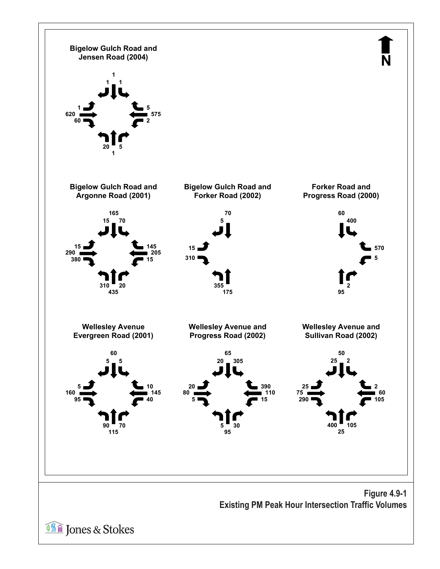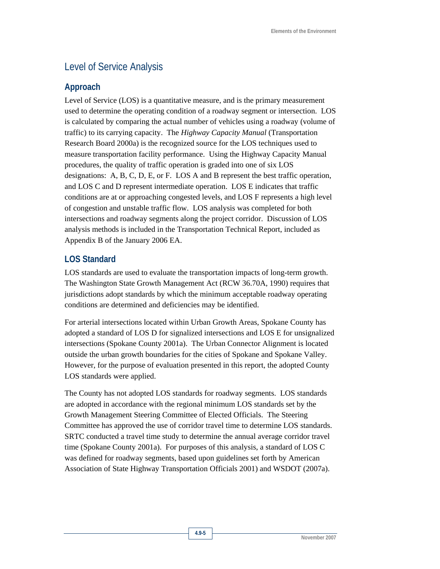# Level of Service Analysis

#### **Approach**

Level of Service (LOS) is a quantitative measure, and is the primary measurement used to determine the operating condition of a roadway segment or intersection. LOS is calculated by comparing the actual number of vehicles using a roadway (volume of traffic) to its carrying capacity. The *Highway Capacity Manual* (Transportation Research Board 2000a) is the recognized source for the LOS techniques used to measure transportation facility performance. Using the Highway Capacity Manual procedures, the quality of traffic operation is graded into one of six LOS designations: A, B, C, D, E, or F. LOS A and B represent the best traffic operation, and LOS C and D represent intermediate operation. LOS E indicates that traffic conditions are at or approaching congested levels, and LOS F represents a high level of congestion and unstable traffic flow. LOS analysis was completed for both intersections and roadway segments along the project corridor. Discussion of LOS analysis methods is included in the Transportation Technical Report, included as Appendix B of the January 2006 EA.

### **LOS Standard**

LOS standards are used to evaluate the transportation impacts of long-term growth. The Washington State Growth Management Act (RCW 36.70A, 1990) requires that jurisdictions adopt standards by which the minimum acceptable roadway operating conditions are determined and deficiencies may be identified.

For arterial intersections located within Urban Growth Areas, Spokane County has adopted a standard of LOS D for signalized intersections and LOS E for unsignalized intersections (Spokane County 2001a). The Urban Connector Alignment is located outside the urban growth boundaries for the cities of Spokane and Spokane Valley. However, for the purpose of evaluation presented in this report, the adopted County LOS standards were applied.

The County has not adopted LOS standards for roadway segments. LOS standards are adopted in accordance with the regional minimum LOS standards set by the Growth Management Steering Committee of Elected Officials. The Steering Committee has approved the use of corridor travel time to determine LOS standards. SRTC conducted a travel time study to determine the annual average corridor travel time (Spokane County 2001a). For purposes of this analysis, a standard of LOS C was defined for roadway segments, based upon guidelines set forth by American Association of State Highway Transportation Officials 2001) and WSDOT (2007a).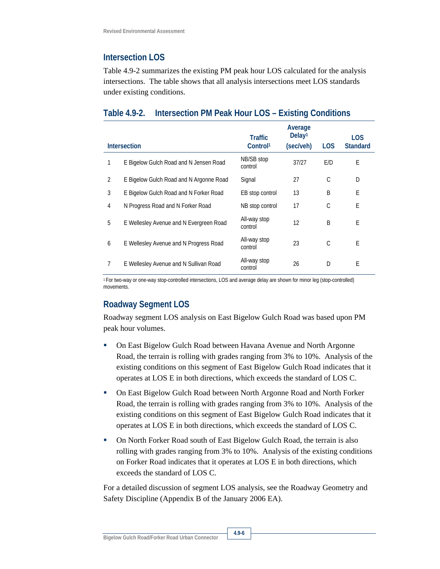### **Intersection LOS**

Table 4.9-2 summarizes the existing PM peak hour LOS calculated for the analysis intersections. The table shows that all analysis intersections meet LOS standards under existing conditions.

### **Table 4.9-2. Intersection PM Peak Hour LOS – Existing Conditions**

|                | <b>Intersection</b>                     | <b>Traffic</b><br>Control <sup>1</sup> | Average<br>Delay <sup>1</sup><br>(sec/veh) | <b>LOS</b> | <b>LOS</b><br><b>Standard</b> |
|----------------|-----------------------------------------|----------------------------------------|--------------------------------------------|------------|-------------------------------|
|                | E Bigelow Gulch Road and N Jensen Road  | NB/SB stop<br>control                  | 37/27                                      | E/D        | E                             |
| $\overline{2}$ | E Bigelow Gulch Road and N Argonne Road | Signal                                 | 27                                         | C          | D                             |
| 3              | E Bigelow Gulch Road and N Forker Road  | EB stop control                        | 13                                         | B          | E                             |
| 4              | N Progress Road and N Forker Road       | NB stop control                        | 17                                         | C          | E                             |
| 5              | E Wellesley Avenue and N Evergreen Road | All-way stop<br>control                | 12                                         | B          | E                             |
| 6              | E Wellesley Avenue and N Progress Road  | All-way stop<br>control                | 23                                         | C          | E                             |
| 7              | E Wellesley Avenue and N Sullivan Road  | All-way stop<br>control                | 26                                         | D          | E                             |

1 For two-way or one-way stop-controlled intersections, LOS and average delay are shown for minor leg (stop-controlled) movements.

### **Roadway Segment LOS**

Roadway segment LOS analysis on East Bigelow Gulch Road was based upon PM peak hour volumes.

- On East Bigelow Gulch Road between Havana Avenue and North Argonne Road, the terrain is rolling with grades ranging from 3% to 10%. Analysis of the existing conditions on this segment of East Bigelow Gulch Road indicates that it operates at LOS E in both directions, which exceeds the standard of LOS C.
- On East Bigelow Gulch Road between North Argonne Road and North Forker Road, the terrain is rolling with grades ranging from 3% to 10%. Analysis of the existing conditions on this segment of East Bigelow Gulch Road indicates that it operates at LOS E in both directions, which exceeds the standard of LOS C.
- On North Forker Road south of East Bigelow Gulch Road, the terrain is also rolling with grades ranging from 3% to 10%. Analysis of the existing conditions on Forker Road indicates that it operates at LOS E in both directions, which exceeds the standard of LOS C.

For a detailed discussion of segment LOS analysis, see the Roadway Geometry and Safety Discipline (Appendix B of the January 2006 EA).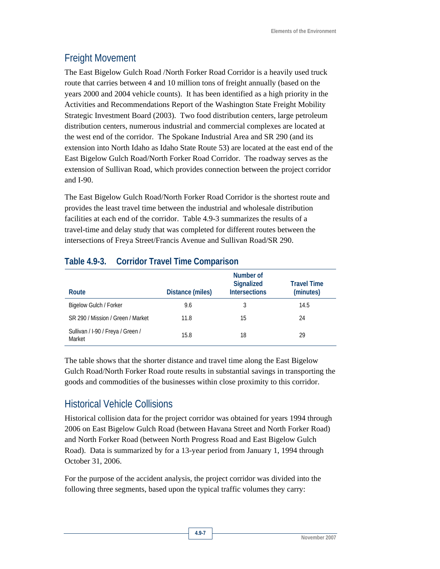# Freight Movement

The East Bigelow Gulch Road /North Forker Road Corridor is a heavily used truck route that carries between 4 and 10 million tons of freight annually (based on the years 2000 and 2004 vehicle counts). It has been identified as a high priority in the Activities and Recommendations Report of the Washington State Freight Mobility Strategic Investment Board (2003). Two food distribution centers, large petroleum distribution centers, numerous industrial and commercial complexes are located at the west end of the corridor. The Spokane Industrial Area and SR 290 (and its extension into North Idaho as Idaho State Route 53) are located at the east end of the East Bigelow Gulch Road/North Forker Road Corridor. The roadway serves as the extension of Sullivan Road, which provides connection between the project corridor and I-90.

The East Bigelow Gulch Road/North Forker Road Corridor is the shortest route and provides the least travel time between the industrial and wholesale distribution facilities at each end of the corridor. Table 4.9-3 summarizes the results of a travel-time and delay study that was completed for different routes between the intersections of Freya Street/Francis Avenue and Sullivan Road/SR 290.

| Route                                       | Distance (miles) | Number of<br><b>Signalized</b><br><b>Intersections</b> | <b>Travel Time</b><br>(minutes) |
|---------------------------------------------|------------------|--------------------------------------------------------|---------------------------------|
| Bigelow Gulch / Forker                      | 9.6              | 3                                                      | 14.5                            |
| SR 290 / Mission / Green / Market           | 11.8             | 15                                                     | 24                              |
| Sullivan / I-90 / Freya / Green /<br>Market | 15.8             | 18                                                     | 29                              |

### **Table 4.9-3. Corridor Travel Time Comparison**

The table shows that the shorter distance and travel time along the East Bigelow Gulch Road/North Forker Road route results in substantial savings in transporting the goods and commodities of the businesses within close proximity to this corridor.

# Historical Vehicle Collisions

Historical collision data for the project corridor was obtained for years 1994 through 2006 on East Bigelow Gulch Road (between Havana Street and North Forker Road) and North Forker Road (between North Progress Road and East Bigelow Gulch Road). Data is summarized by for a 13-year period from January 1, 1994 through October 31, 2006.

For the purpose of the accident analysis, the project corridor was divided into the following three segments, based upon the typical traffic volumes they carry: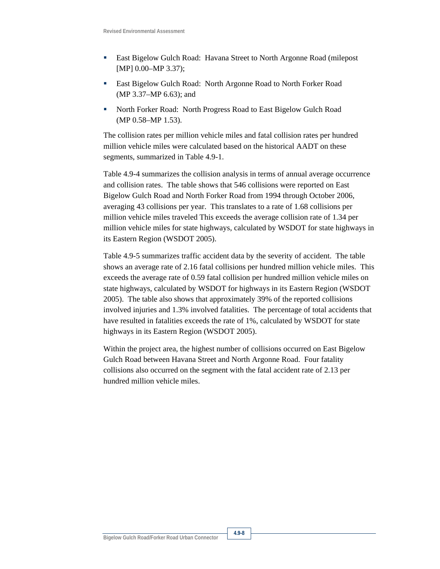- East Bigelow Gulch Road: Havana Street to North Argonne Road (milepost [MP] 0.00–MP 3.37);
- East Bigelow Gulch Road: North Argonne Road to North Forker Road (MP 3.37–MP 6.63); and
- North Forker Road: North Progress Road to East Bigelow Gulch Road (MP 0.58–MP 1.53).

The collision rates per million vehicle miles and fatal collision rates per hundred million vehicle miles were calculated based on the historical AADT on these segments, summarized in Table 4.9-1.

Table 4.9-4 summarizes the collision analysis in terms of annual average occurrence and collision rates. The table shows that 546 collisions were reported on East Bigelow Gulch Road and North Forker Road from 1994 through October 2006, averaging 43 collisions per year. This translates to a rate of 1.68 collisions per million vehicle miles traveled This exceeds the average collision rate of 1.34 per million vehicle miles for state highways, calculated by WSDOT for state highways in its Eastern Region (WSDOT 2005).

Table 4.9-5 summarizes traffic accident data by the severity of accident. The table shows an average rate of 2.16 fatal collisions per hundred million vehicle miles. This exceeds the average rate of 0.59 fatal collision per hundred million vehicle miles on state highways, calculated by WSDOT for highways in its Eastern Region (WSDOT 2005). The table also shows that approximately 39% of the reported collisions involved injuries and 1.3% involved fatalities. The percentage of total accidents that have resulted in fatalities exceeds the rate of 1%, calculated by WSDOT for state highways in its Eastern Region (WSDOT 2005).

Within the project area, the highest number of collisions occurred on East Bigelow Gulch Road between Havana Street and North Argonne Road. Four fatality collisions also occurred on the segment with the fatal accident rate of 2.13 per hundred million vehicle miles.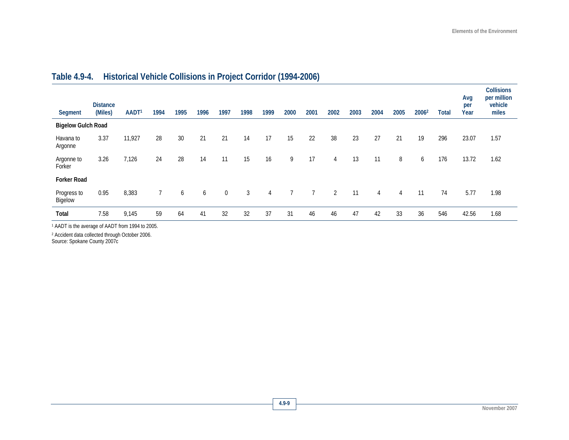| Segment                   | <b>Distance</b><br>(Miles) | AADT <sup>1</sup> | 1994 | 1995 | 1996 | 1997        | 1998 | 1999           | 2000 | 2001 | 2002           | 2003 | 2004           | 2005 | 2006 <sup>2</sup> | <b>Total</b> | Avg<br>per<br>Year | <b>Collisions</b><br>per million<br>vehicle<br>miles |
|---------------------------|----------------------------|-------------------|------|------|------|-------------|------|----------------|------|------|----------------|------|----------------|------|-------------------|--------------|--------------------|------------------------------------------------------|
| <b>Bigelow Gulch Road</b> |                            |                   |      |      |      |             |      |                |      |      |                |      |                |      |                   |              |                    |                                                      |
| Havana to<br>Argonne      | 3.37                       | 11,927            | 28   | 30   | 21   | 21          | 14   | 17             | 15   | 22   | 38             | 23   | 27             | 21   | 19                | 296          | 23.07              | 1.57                                                 |
| Argonne to<br>Forker      | 3.26                       | 7,126             | 24   | 28   | 14   | 11          | 15   | 16             | 9    | 17   | 4              | 13   | 11             | 8    | 6                 | 176          | 13.72              | 1.62                                                 |
| <b>Forker Road</b>        |                            |                   |      |      |      |             |      |                |      |      |                |      |                |      |                   |              |                    |                                                      |
| Progress to<br>Bigelow    | 0.95                       | 8,383             |      | 6    | 6    | $\mathbf 0$ | 3    | $\overline{4}$ |      |      | $\overline{2}$ | 11   | $\overline{4}$ | 4    | 11                | 74           | 5.77               | 1.98                                                 |
| Total                     | 7.58                       | 9,145             | 59   | 64   | 41   | 32          | 32   | 37             | 31   | 46   | 46             | 47   | 42             | 33   | 36                | 546          | 42.56              | 1.68                                                 |

# **Table 4.9-4. Historical Vehicle Collisions in Project Corridor (1994-2006)**

1 AADT is the average of AADT from 1994 to 2005.

2 Accident data collected through October 2006.

Source: Spokane County 2007c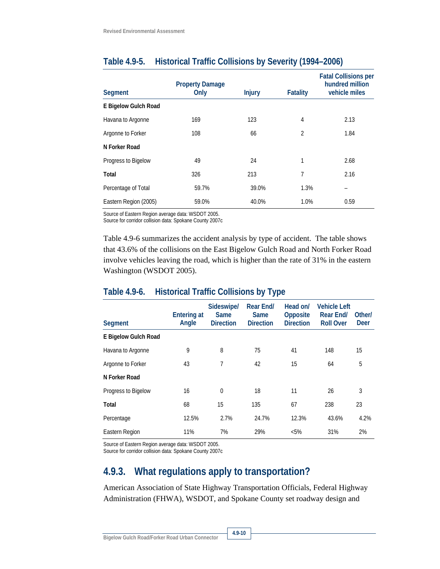| Segment               | <b>Property Damage</b><br>Only | <b>Injury</b> | <b>Fatality</b> | <b>Fatal Collisions per</b><br>hundred million<br>vehicle miles |
|-----------------------|--------------------------------|---------------|-----------------|-----------------------------------------------------------------|
| E Bigelow Gulch Road  |                                |               |                 |                                                                 |
| Havana to Argonne     | 169                            | 123           | 4               | 2.13                                                            |
| Argonne to Forker     | 108                            | 66            | $\overline{2}$  | 1.84                                                            |
| N Forker Road         |                                |               |                 |                                                                 |
| Progress to Bigelow   | 49                             | 24            | 1               | 2.68                                                            |
| Total                 | 326                            | 213           | 7               | 2.16                                                            |
| Percentage of Total   | 59.7%                          | 39.0%         | 1.3%            |                                                                 |
| Eastern Region (2005) | 59.0%                          | 40.0%         | 1.0%            | 0.59                                                            |

### **Table 4.9-5. Historical Traffic Collisions by Severity (1994–2006)**

Source of Eastern Region average data: WSDOT 2005.

Source for corridor collision data: Spokane County 2007c

Table 4.9-6 summarizes the accident analysis by type of accident. The table shows that 43.6% of the collisions on the East Bigelow Gulch Road and North Forker Road involve vehicles leaving the road, which is higher than the rate of 31% in the eastern Washington (WSDOT 2005).

### **Table 4.9-6. Historical Traffic Collisions by Type**

| <b>Segment</b>       | <b>Entering at</b><br>Angle | Sideswipe/<br><b>Same</b><br><b>Direction</b> | Rear End/<br>Same<br><b>Direction</b> | Head on/<br>Opposite<br><b>Direction</b> | <b>Vehicle Left</b><br>Rear End/<br><b>Roll Over</b> | Other/<br>Deer |
|----------------------|-----------------------------|-----------------------------------------------|---------------------------------------|------------------------------------------|------------------------------------------------------|----------------|
| E Bigelow Gulch Road |                             |                                               |                                       |                                          |                                                      |                |
| Havana to Argonne    | 9                           | 8                                             | 75                                    | 41                                       | 148                                                  | 15             |
| Argonne to Forker    | 43                          | 7                                             | 42                                    | 15                                       | 64                                                   | 5              |
| N Forker Road        |                             |                                               |                                       |                                          |                                                      |                |
| Progress to Bigelow  | 16                          | $\theta$                                      | 18                                    | 11                                       | 26                                                   | 3              |
| Total                | 68                          | 15                                            | 135                                   | 67                                       | 238                                                  | 23             |
| Percentage           | 12.5%                       | 2.7%                                          | 24.7%                                 | 12.3%                                    | 43.6%                                                | 4.2%           |
| Eastern Region       | 11%                         | 7%                                            | 29%                                   | $< 5\%$                                  | 31%                                                  | 2%             |

Source of Eastern Region average data: WSDOT 2005.

Source for corridor collision data: Spokane County 2007c

# **4.9.3. What regulations apply to transportation?**

American Association of State Highway Transportation Officials, Federal Highway Administration (FHWA), WSDOT, and Spokane County set roadway design and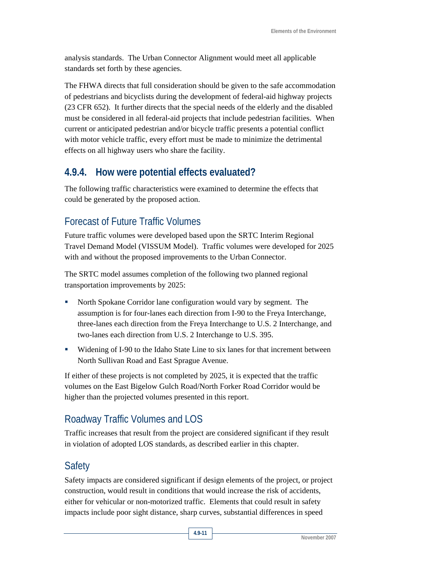analysis standards. The Urban Connector Alignment would meet all applicable standards set forth by these agencies.

The FHWA directs that full consideration should be given to the safe accommodation of pedestrians and bicyclists during the development of federal-aid highway projects (23 CFR 652). It further directs that the special needs of the elderly and the disabled must be considered in all federal-aid projects that include pedestrian facilities. When current or anticipated pedestrian and/or bicycle traffic presents a potential conflict with motor vehicle traffic, every effort must be made to minimize the detrimental effects on all highway users who share the facility.

# **4.9.4. How were potential effects evaluated?**

The following traffic characteristics were examined to determine the effects that could be generated by the proposed action.

# Forecast of Future Traffic Volumes

Future traffic volumes were developed based upon the SRTC Interim Regional Travel Demand Model (VISSUM Model). Traffic volumes were developed for 2025 with and without the proposed improvements to the Urban Connector.

The SRTC model assumes completion of the following two planned regional transportation improvements by 2025:

- North Spokane Corridor lane configuration would vary by segment. The assumption is for four-lanes each direction from I-90 to the Freya Interchange, three-lanes each direction from the Freya Interchange to U.S. 2 Interchange, and two-lanes each direction from U.S. 2 Interchange to U.S. 395.
- Widening of I-90 to the Idaho State Line to six lanes for that increment between North Sullivan Road and East Sprague Avenue.

If either of these projects is not completed by 2025, it is expected that the traffic volumes on the East Bigelow Gulch Road/North Forker Road Corridor would be higher than the projected volumes presented in this report.

# Roadway Traffic Volumes and LOS

Traffic increases that result from the project are considered significant if they result in violation of adopted LOS standards, as described earlier in this chapter.

# Safety

Safety impacts are considered significant if design elements of the project, or project construction, would result in conditions that would increase the risk of accidents, either for vehicular or non-motorized traffic. Elements that could result in safety impacts include poor sight distance, sharp curves, substantial differences in speed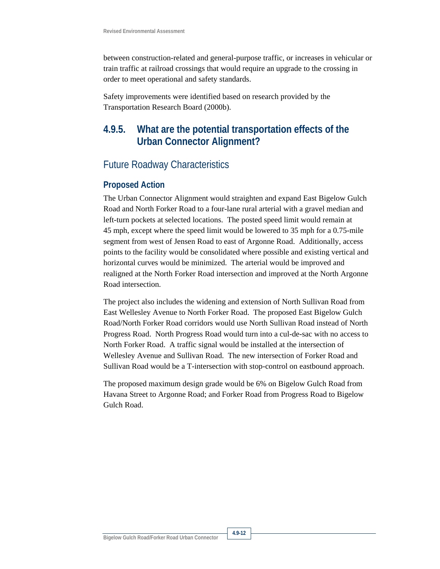between construction-related and general-purpose traffic, or increases in vehicular or train traffic at railroad crossings that would require an upgrade to the crossing in order to meet operational and safety standards.

Safety improvements were identified based on research provided by the Transportation Research Board (2000b).

## **4.9.5. What are the potential transportation effects of the Urban Connector Alignment?**

### Future Roadway Characteristics

#### **Proposed Action**

The Urban Connector Alignment would straighten and expand East Bigelow Gulch Road and North Forker Road to a four-lane rural arterial with a gravel median and left-turn pockets at selected locations. The posted speed limit would remain at 45 mph, except where the speed limit would be lowered to 35 mph for a 0.75-mile segment from west of Jensen Road to east of Argonne Road. Additionally, access points to the facility would be consolidated where possible and existing vertical and horizontal curves would be minimized. The arterial would be improved and realigned at the North Forker Road intersection and improved at the North Argonne Road intersection.

The project also includes the widening and extension of North Sullivan Road from East Wellesley Avenue to North Forker Road. The proposed East Bigelow Gulch Road/North Forker Road corridors would use North Sullivan Road instead of North Progress Road. North Progress Road would turn into a cul-de-sac with no access to North Forker Road. A traffic signal would be installed at the intersection of Wellesley Avenue and Sullivan Road. The new intersection of Forker Road and Sullivan Road would be a T-intersection with stop-control on eastbound approach.

The proposed maximum design grade would be 6% on Bigelow Gulch Road from Havana Street to Argonne Road; and Forker Road from Progress Road to Bigelow Gulch Road.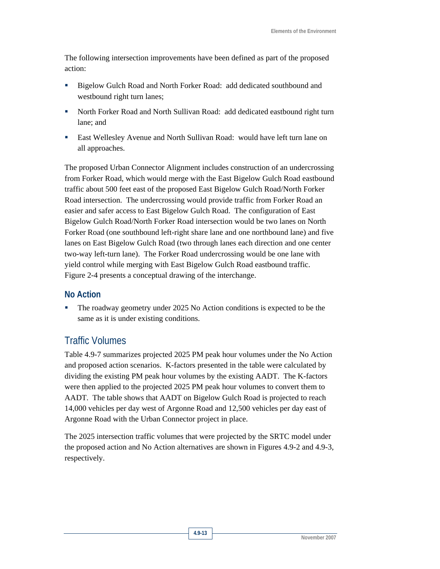The following intersection improvements have been defined as part of the proposed action:

- Bigelow Gulch Road and North Forker Road: add dedicated southbound and westbound right turn lanes;
- North Forker Road and North Sullivan Road: add dedicated eastbound right turn lane; and
- East Wellesley Avenue and North Sullivan Road: would have left turn lane on all approaches.

The proposed Urban Connector Alignment includes construction of an undercrossing from Forker Road, which would merge with the East Bigelow Gulch Road eastbound traffic about 500 feet east of the proposed East Bigelow Gulch Road/North Forker Road intersection. The undercrossing would provide traffic from Forker Road an easier and safer access to East Bigelow Gulch Road. The configuration of East Bigelow Gulch Road/North Forker Road intersection would be two lanes on North Forker Road (one southbound left-right share lane and one northbound lane) and five lanes on East Bigelow Gulch Road (two through lanes each direction and one center two-way left-turn lane). The Forker Road undercrossing would be one lane with yield control while merging with East Bigelow Gulch Road eastbound traffic. Figure 2-4 presents a conceptual drawing of the interchange.

#### **No Action**

The roadway geometry under 2025 No Action conditions is expected to be the same as it is under existing conditions.

### Traffic Volumes

Table 4.9-7 summarizes projected 2025 PM peak hour volumes under the No Action and proposed action scenarios. K-factors presented in the table were calculated by dividing the existing PM peak hour volumes by the existing AADT. The K-factors were then applied to the projected 2025 PM peak hour volumes to convert them to AADT. The table shows that AADT on Bigelow Gulch Road is projected to reach 14,000 vehicles per day west of Argonne Road and 12,500 vehicles per day east of Argonne Road with the Urban Connector project in place.

The 2025 intersection traffic volumes that were projected by the SRTC model under the proposed action and No Action alternatives are shown in Figures 4.9-2 and 4.9-3, respectively.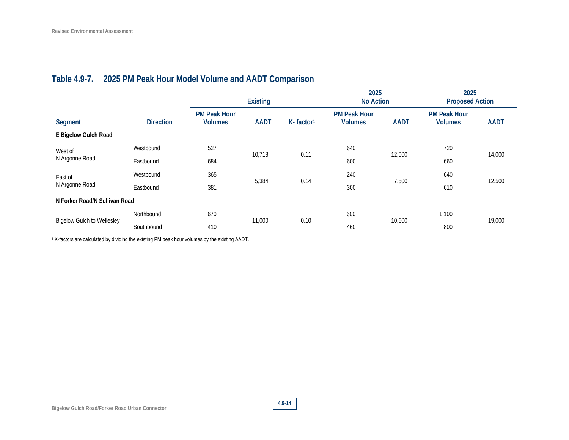|                                   |                  | <b>Existing</b>                       |             | 2025<br><b>No Action</b> |                                       | 2025<br><b>Proposed Action</b> |                                       |             |  |
|-----------------------------------|------------------|---------------------------------------|-------------|--------------------------|---------------------------------------|--------------------------------|---------------------------------------|-------------|--|
| Segment                           | <b>Direction</b> | <b>PM Peak Hour</b><br><b>Volumes</b> | <b>AADT</b> | K-factor <sup>1</sup>    | <b>PM Peak Hour</b><br><b>Volumes</b> | <b>AADT</b>                    | <b>PM Peak Hour</b><br><b>Volumes</b> | <b>AADT</b> |  |
| E Bigelow Gulch Road              |                  |                                       |             |                          |                                       |                                |                                       |             |  |
| West of<br>N Argonne Road         | Westbound        | 527                                   |             | 0.11                     | 640                                   | 12,000                         | 720                                   | 14,000      |  |
|                                   | Eastbound        | 684                                   | 10,718      |                          | 600                                   |                                | 660                                   |             |  |
| East of                           | Westbound        | 365                                   | 5,384       |                          | 240                                   | 7,500                          | 640                                   |             |  |
| N Argonne Road                    | Eastbound        | 381                                   |             | 0.14                     | 300                                   |                                | 610                                   | 12,500      |  |
| N Forker Road/N Sullivan Road     |                  |                                       |             |                          |                                       |                                |                                       |             |  |
| <b>Bigelow Gulch to Wellesley</b> | Northbound       | 670                                   | 11,000      | 0.10                     | 600                                   | 10,600                         | 1,100                                 | 19,000      |  |
|                                   | Southbound       | 410                                   |             |                          | 460                                   |                                | 800                                   |             |  |

## **Table 4.9-7. 2025 PM Peak Hour Model Volume and AADT Comparison**

1 K-factors are calculated by dividing the existing PM peak hour volumes by the existing AADT.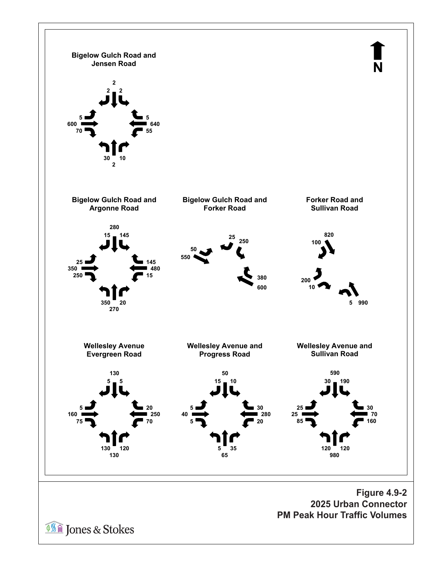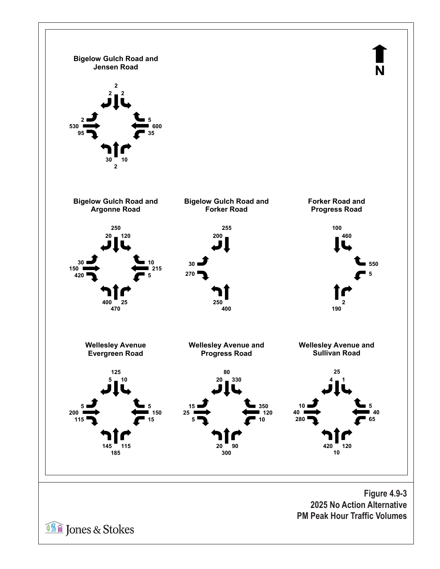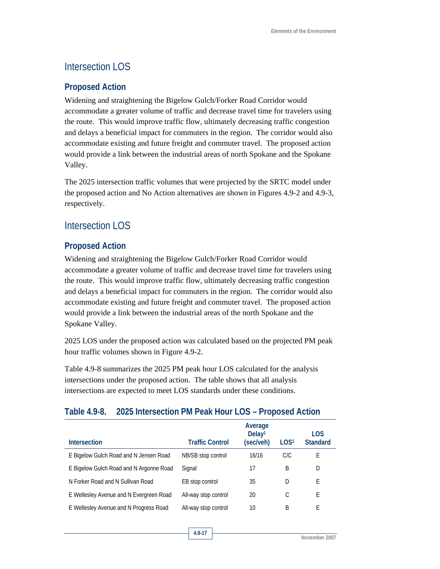### Intersection LOS

#### **Proposed Action**

Widening and straightening the Bigelow Gulch/Forker Road Corridor would accommodate a greater volume of traffic and decrease travel time for travelers using the route. This would improve traffic flow, ultimately decreasing traffic congestion and delays a beneficial impact for commuters in the region. The corridor would also accommodate existing and future freight and commuter travel. The proposed action would provide a link between the industrial areas of north Spokane and the Spokane Valley.

The 2025 intersection traffic volumes that were projected by the SRTC model under the proposed action and No Action alternatives are shown in Figures 4.9-2 and 4.9-3, respectively.

### Intersection LOS

#### **Proposed Action**

Widening and straightening the Bigelow Gulch/Forker Road Corridor would accommodate a greater volume of traffic and decrease travel time for travelers using the route. This would improve traffic flow, ultimately decreasing traffic congestion and delays a beneficial impact for commuters in the region. The corridor would also accommodate existing and future freight and commuter travel. The proposed action would provide a link between the industrial areas of the north Spokane and the Spokane Valley.

2025 LOS under the proposed action was calculated based on the projected PM peak hour traffic volumes shown in Figure 4.9-2.

Table 4.9-8 summarizes the 2025 PM peak hour LOS calculated for the analysis intersections under the proposed action. The table shows that all analysis intersections are expected to meet LOS standards under these conditions.

#### **Table 4.9-8. 2025 Intersection PM Peak Hour LOS – Proposed Action**

| <b>Intersection</b>                     | <b>Traffic Control</b> | Average<br>Deltav <sup>1</sup><br>(sec/veh) | LOG <sup>1</sup> | <b>LOS</b><br><b>Standard</b> |
|-----------------------------------------|------------------------|---------------------------------------------|------------------|-------------------------------|
|                                         |                        |                                             |                  |                               |
| E Bigelow Gulch Road and N Jensen Road  | NB/SB stop control     | 16/16                                       | C/C              | Е                             |
| E Bigelow Gulch Road and N Argonne Road | Signal                 | 17                                          | B                | D                             |
| N Forker Road and N Sullivan Road       | EB stop control        | 35                                          | D                | E                             |
| E Wellesley Avenue and N Evergreen Road | All-way stop control   | 20                                          | С                | E                             |
| E Wellesley Avenue and N Progress Road  | All-way stop control   | 10                                          | B                | F                             |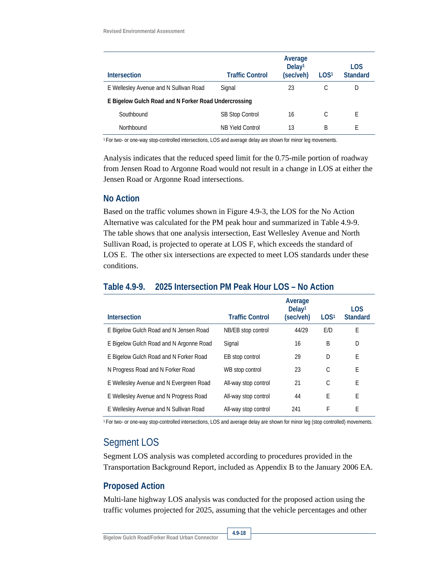| <b>Intersection</b>                                  | <b>Traffic Control</b> | Average<br>Delay <sup>1</sup><br>(sec/veh) | LOG <sup>1</sup> | <b>LOS</b><br><b>Standard</b> |  |  |  |
|------------------------------------------------------|------------------------|--------------------------------------------|------------------|-------------------------------|--|--|--|
| E Wellesley Avenue and N Sullivan Road               | Signal                 | 23                                         |                  | D                             |  |  |  |
| E Bigelow Gulch Road and N Forker Road Undercrossing |                        |                                            |                  |                               |  |  |  |
| Southbound                                           | SB Stop Control        | 16                                         | C                | F                             |  |  |  |
| Northbound                                           | NB Yield Control       | 13                                         | B                | F                             |  |  |  |

1 For two- or one-way stop-controlled intersections, LOS and average delay are shown for minor leg movements.

Analysis indicates that the reduced speed limit for the 0.75-mile portion of roadway from Jensen Road to Argonne Road would not result in a change in LOS at either the Jensen Road or Argonne Road intersections.

#### **No Action**

Based on the traffic volumes shown in Figure 4.9-3, the LOS for the No Action Alternative was calculated for the PM peak hour and summarized in Table 4.9-9. The table shows that one analysis intersection, East Wellesley Avenue and North Sullivan Road, is projected to operate at LOS F, which exceeds the standard of LOS E. The other six intersections are expected to meet LOS standards under these conditions.

#### **Table 4.9-9. 2025 Intersection PM Peak Hour LOS – No Action**

| <b>Intersection</b>                     | <b>Traffic Control</b> | Average<br>Delay <sup>1</sup><br>(sec/veh) | LOG <sup>1</sup> | <b>LOS</b><br><b>Standard</b> |
|-----------------------------------------|------------------------|--------------------------------------------|------------------|-------------------------------|
|                                         |                        | 44/29                                      | E/D              | E                             |
| E Bigelow Gulch Road and N Jensen Road  | NB/EB stop control     |                                            |                  |                               |
| E Bigelow Gulch Road and N Argonne Road | Signal                 | 16                                         | B                | D                             |
| E Bigelow Gulch Road and N Forker Road  | EB stop control        | 29                                         | D                | E                             |
| N Progress Road and N Forker Road       | WB stop control        | 23                                         | C                | E                             |
| E Wellesley Avenue and N Evergreen Road | All-way stop control   | 21                                         | C                | E                             |
| E Wellesley Avenue and N Progress Road  | All-way stop control   | 44                                         | E                | E                             |
| E Wellesley Avenue and N Sullivan Road  | All-way stop control   | 241                                        | F                | Е                             |

1 For two- or one-way stop-controlled intersections, LOS and average delay are shown for minor leg (stop controlled) movements.

### Segment LOS

Segment LOS analysis was completed according to procedures provided in the Transportation Background Report, included as Appendix B to the January 2006 EA.

#### **Proposed Action**

Multi-lane highway LOS analysis was conducted for the proposed action using the traffic volumes projected for 2025, assuming that the vehicle percentages and other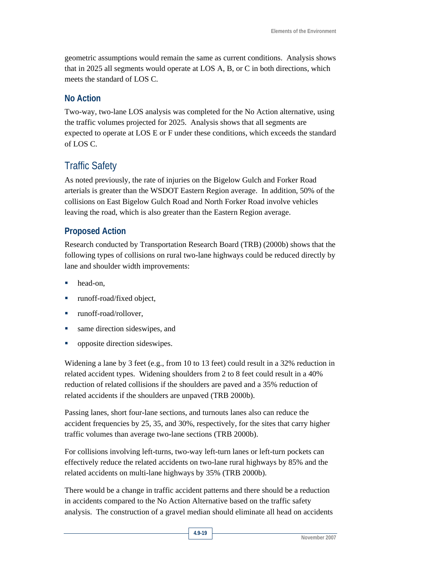geometric assumptions would remain the same as current conditions. Analysis shows that in 2025 all segments would operate at LOS A, B, or C in both directions, which meets the standard of LOS C.

#### **No Action**

Two-way, two-lane LOS analysis was completed for the No Action alternative, using the traffic volumes projected for 2025. Analysis shows that all segments are expected to operate at LOS E or F under these conditions, which exceeds the standard of LOS C.

## Traffic Safety

As noted previously, the rate of injuries on the Bigelow Gulch and Forker Road arterials is greater than the WSDOT Eastern Region average. In addition, 50% of the collisions on East Bigelow Gulch Road and North Forker Road involve vehicles leaving the road, which is also greater than the Eastern Region average.

### **Proposed Action**

Research conducted by Transportation Research Board (TRB) (2000b) shows that the following types of collisions on rural two-lane highways could be reduced directly by lane and shoulder width improvements:

- head-on,
- runoff-road/fixed object,
- runoff-road/rollover,
- same direction sideswipes, and
- opposite direction sideswipes.

Widening a lane by 3 feet (e.g., from 10 to 13 feet) could result in a 32% reduction in related accident types. Widening shoulders from 2 to 8 feet could result in a 40% reduction of related collisions if the shoulders are paved and a 35% reduction of related accidents if the shoulders are unpaved (TRB 2000b).

Passing lanes, short four-lane sections, and turnouts lanes also can reduce the accident frequencies by 25, 35, and 30%, respectively, for the sites that carry higher traffic volumes than average two-lane sections (TRB 2000b).

For collisions involving left-turns, two-way left-turn lanes or left-turn pockets can effectively reduce the related accidents on two-lane rural highways by 85% and the related accidents on multi-lane highways by 35% (TRB 2000b).

There would be a change in traffic accident patterns and there should be a reduction in accidents compared to the No Action Alternative based on the traffic safety analysis. The construction of a gravel median should eliminate all head on accidents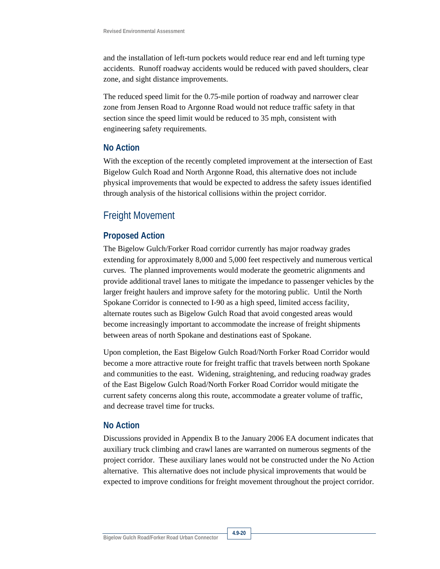and the installation of left-turn pockets would reduce rear end and left turning type accidents. Runoff roadway accidents would be reduced with paved shoulders, clear zone, and sight distance improvements.

The reduced speed limit for the 0.75-mile portion of roadway and narrower clear zone from Jensen Road to Argonne Road would not reduce traffic safety in that section since the speed limit would be reduced to 35 mph, consistent with engineering safety requirements.

#### **No Action**

With the exception of the recently completed improvement at the intersection of East Bigelow Gulch Road and North Argonne Road, this alternative does not include physical improvements that would be expected to address the safety issues identified through analysis of the historical collisions within the project corridor.

### Freight Movement

#### **Proposed Action**

The Bigelow Gulch/Forker Road corridor currently has major roadway grades extending for approximately 8,000 and 5,000 feet respectively and numerous vertical curves. The planned improvements would moderate the geometric alignments and provide additional travel lanes to mitigate the impedance to passenger vehicles by the larger freight haulers and improve safety for the motoring public. Until the North Spokane Corridor is connected to I-90 as a high speed, limited access facility, alternate routes such as Bigelow Gulch Road that avoid congested areas would become increasingly important to accommodate the increase of freight shipments between areas of north Spokane and destinations east of Spokane.

Upon completion, the East Bigelow Gulch Road/North Forker Road Corridor would become a more attractive route for freight traffic that travels between north Spokane and communities to the east. Widening, straightening, and reducing roadway grades of the East Bigelow Gulch Road/North Forker Road Corridor would mitigate the current safety concerns along this route, accommodate a greater volume of traffic, and decrease travel time for trucks.

#### **No Action**

Discussions provided in Appendix B to the January 2006 EA document indicates that auxiliary truck climbing and crawl lanes are warranted on numerous segments of the project corridor. These auxiliary lanes would not be constructed under the No Action alternative. This alternative does not include physical improvements that would be expected to improve conditions for freight movement throughout the project corridor.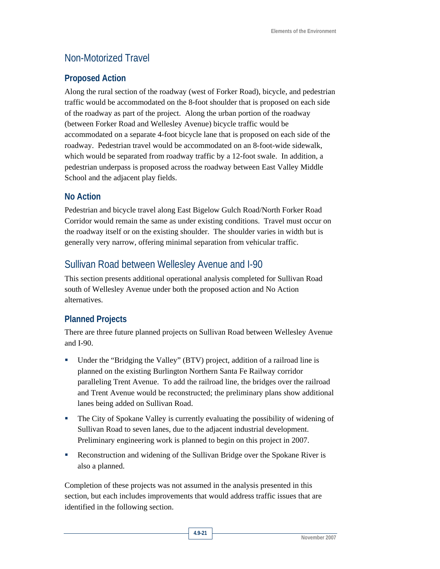### Non-Motorized Travel

### **Proposed Action**

Along the rural section of the roadway (west of Forker Road), bicycle, and pedestrian traffic would be accommodated on the 8-foot shoulder that is proposed on each side of the roadway as part of the project. Along the urban portion of the roadway (between Forker Road and Wellesley Avenue) bicycle traffic would be accommodated on a separate 4-foot bicycle lane that is proposed on each side of the roadway. Pedestrian travel would be accommodated on an 8-foot-wide sidewalk, which would be separated from roadway traffic by a 12-foot swale. In addition, a pedestrian underpass is proposed across the roadway between East Valley Middle School and the adjacent play fields.

### **No Action**

Pedestrian and bicycle travel along East Bigelow Gulch Road/North Forker Road Corridor would remain the same as under existing conditions. Travel must occur on the roadway itself or on the existing shoulder. The shoulder varies in width but is generally very narrow, offering minimal separation from vehicular traffic.

### Sullivan Road between Wellesley Avenue and I-90

This section presents additional operational analysis completed for Sullivan Road south of Wellesley Avenue under both the proposed action and No Action alternatives.

### **Planned Projects**

There are three future planned projects on Sullivan Road between Wellesley Avenue and I-90.

- Under the "Bridging the Valley" (BTV) project, addition of a railroad line is planned on the existing Burlington Northern Santa Fe Railway corridor paralleling Trent Avenue. To add the railroad line, the bridges over the railroad and Trent Avenue would be reconstructed; the preliminary plans show additional lanes being added on Sullivan Road.
- **The City of Spokane Valley is currently evaluating the possibility of widening of** Sullivan Road to seven lanes, due to the adjacent industrial development. Preliminary engineering work is planned to begin on this project in 2007.
- Reconstruction and widening of the Sullivan Bridge over the Spokane River is also a planned.

Completion of these projects was not assumed in the analysis presented in this section, but each includes improvements that would address traffic issues that are identified in the following section.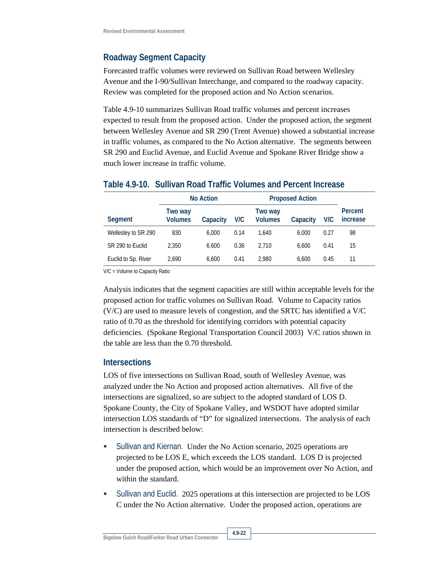### **Roadway Segment Capacity**

Forecasted traffic volumes were reviewed on Sullivan Road between Wellesley Avenue and the I-90/Sullivan Interchange, and compared to the roadway capacity. Review was completed for the proposed action and No Action scenarios.

Table 4.9-10 summarizes Sullivan Road traffic volumes and percent increases expected to result from the proposed action. Under the proposed action, the segment between Wellesley Avenue and SR 290 (Trent Avenue) showed a substantial increase in traffic volumes, as compared to the No Action alternative. The segments between SR 290 and Euclid Avenue, and Euclid Avenue and Spokane River Bridge show a much lower increase in traffic volume.

|                     |                           | <b>No Action</b> |      | <b>Proposed Action</b>    |          |      |                     |  |
|---------------------|---------------------------|------------------|------|---------------------------|----------|------|---------------------|--|
| Segment             | Two way<br><b>Volumes</b> | Capacity         | V/C  | Two way<br><b>Volumes</b> | Capacity | V/C  | Percent<br>increase |  |
| Wellesley to SR 290 | 830                       | 6.000            | 0.14 | 1.640                     | 6.000    | 0.27 | 98                  |  |
| SR 290 to Euclid    | 2.350                     | 6.600            | 0.36 | 2.710                     | 6.600    | 0.41 | 15                  |  |
| Euclid to Sp. River | 2.690                     | 6.600            | 0.41 | 2.980                     | 6.600    | 0.45 | 11                  |  |

#### **Table 4.9-10. Sullivan Road Traffic Volumes and Percent Increase**

V/C = Volume to Capacity Ratio

Analysis indicates that the segment capacities are still within acceptable levels for the proposed action for traffic volumes on Sullivan Road. Volume to Capacity ratios (V/C) are used to measure levels of congestion, and the SRTC has identified a V/C ratio of 0.70 as the threshold for identifying corridors with potential capacity deficiencies. (Spokane Regional Transportation Council 2003) V/C ratios shown in the table are less than the 0.70 threshold.

#### **Intersections**

LOS of five intersections on Sullivan Road, south of Wellesley Avenue, was analyzed under the No Action and proposed action alternatives. All five of the intersections are signalized, so are subject to the adopted standard of LOS D. Spokane County, the City of Spokane Valley, and WSDOT have adopted similar intersection LOS standards of "D" for signalized intersections. The analysis of each intersection is described below:

- **Sullivan and Kiernan.** Under the No Action scenario, 2025 operations are projected to be LOS E, which exceeds the LOS standard. LOS D is projected under the proposed action, which would be an improvement over No Action, and within the standard.
- Sullivan and Euclid. 2025 operations at this intersection are projected to be LOS C under the No Action alternative. Under the proposed action, operations are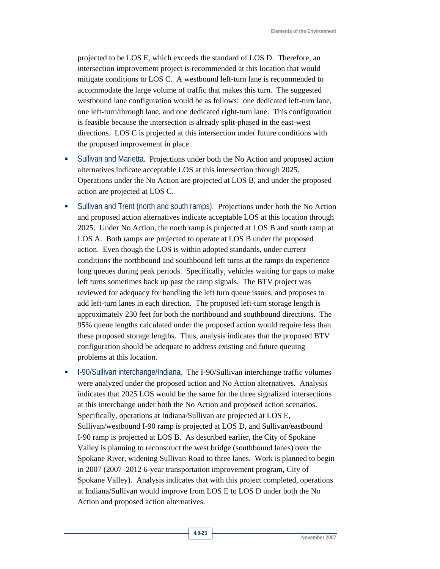projected to be LOS E, which exceeds the standard of LOS D. Therefore, an intersection improvement project is recommended at this location that would mitigate conditions to LOS C. A westbound left-turn lane is recommended to accommodate the large volume of traffic that makes this turn. The suggested westbound lane configuration would be as follows: one dedicated left-turn lane, one left-turn/through lane, and one dedicated right-turn lane. This configuration is feasible because the intersection is already split-phased in the east-west directions. LOS C is projected at this intersection under future conditions with the proposed improvement in place.

- Sullivan and Marietta. Projections under both the No Action and proposed action alternatives indicate acceptable LOS at this intersection through 2025. Operations under the No Action are projected at LOS B, and under the proposed action are projected at LOS C.
- Sullivan and Trent (north and south ramps). Projections under both the No Action and proposed action alternatives indicate acceptable LOS at this location through 2025. Under No Action, the north ramp is projected at LOS B and south ramp at LOS A. Both ramps are projected to operate at LOS B under the proposed action. Even though the LOS is within adopted standards, under current conditions the northbound and southbound left turns at the ramps do experience long queues during peak periods. Specifically, vehicles waiting for gaps to make left turns sometimes back up past the ramp signals. The BTV project was reviewed for adequacy for handling the left turn queue issues, and proposes to add left-turn lanes in each direction. The proposed left-turn storage length is approximately 230 feet for both the northbound and southbound directions. The 95% queue lengths calculated under the proposed action would require less than these proposed storage lengths. Thus, analysis indicates that the proposed BTV configuration should be adequate to address existing and future queuing problems at this location.
- I-90/Sullivan interchange/Indiana. The I-90/Sullivan interchange traffic volumes were analyzed under the proposed action and No Action alternatives. Analysis indicates that 2025 LOS would be the same for the three signalized intersections at this interchange under both the No Action and proposed action scenarios. Specifically, operations at Indiana/Sullivan are projected at LOS E, Sullivan/westbound I-90 ramp is projected at LOS D, and Sullivan/eastbound I-90 ramp is projected at LOS B. As described earlier, the City of Spokane Valley is planning to reconstruct the west bridge (southbound lanes) over the Spokane River, widening Sullivan Road to three lanes. Work is planned to begin in 2007 (2007–2012 6-year transportation improvement program, City of Spokane Valley). Analysis indicates that with this project completed, operations at Indiana/Sullivan would improve from LOS E to LOS D under both the No Action and proposed action alternatives.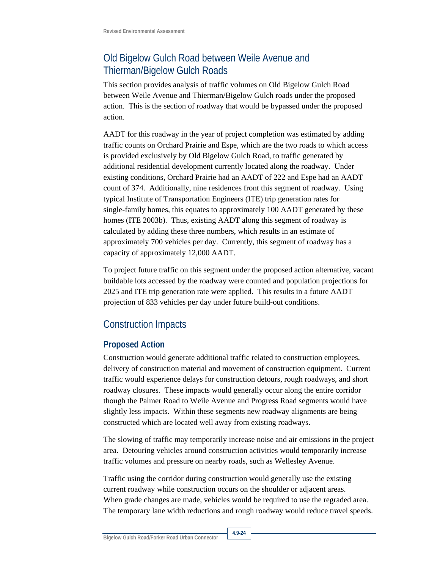# Old Bigelow Gulch Road between Weile Avenue and Thierman/Bigelow Gulch Roads

This section provides analysis of traffic volumes on Old Bigelow Gulch Road between Weile Avenue and Thierman/Bigelow Gulch roads under the proposed action. This is the section of roadway that would be bypassed under the proposed action.

AADT for this roadway in the year of project completion was estimated by adding traffic counts on Orchard Prairie and Espe, which are the two roads to which access is provided exclusively by Old Bigelow Gulch Road, to traffic generated by additional residential development currently located along the roadway. Under existing conditions, Orchard Prairie had an AADT of 222 and Espe had an AADT count of 374. Additionally, nine residences front this segment of roadway. Using typical Institute of Transportation Engineers (ITE) trip generation rates for single-family homes, this equates to approximately 100 AADT generated by these homes (ITE 2003b). Thus, existing AADT along this segment of roadway is calculated by adding these three numbers, which results in an estimate of approximately 700 vehicles per day. Currently, this segment of roadway has a capacity of approximately 12,000 AADT.

To project future traffic on this segment under the proposed action alternative, vacant buildable lots accessed by the roadway were counted and population projections for 2025 and ITE trip generation rate were applied. This results in a future AADT projection of 833 vehicles per day under future build-out conditions.

# Construction Impacts

### **Proposed Action**

Construction would generate additional traffic related to construction employees, delivery of construction material and movement of construction equipment. Current traffic would experience delays for construction detours, rough roadways, and short roadway closures. These impacts would generally occur along the entire corridor though the Palmer Road to Weile Avenue and Progress Road segments would have slightly less impacts. Within these segments new roadway alignments are being constructed which are located well away from existing roadways.

The slowing of traffic may temporarily increase noise and air emissions in the project area. Detouring vehicles around construction activities would temporarily increase traffic volumes and pressure on nearby roads, such as Wellesley Avenue.

Traffic using the corridor during construction would generally use the existing current roadway while construction occurs on the shoulder or adjacent areas. When grade changes are made, vehicles would be required to use the regraded area. The temporary lane width reductions and rough roadway would reduce travel speeds.